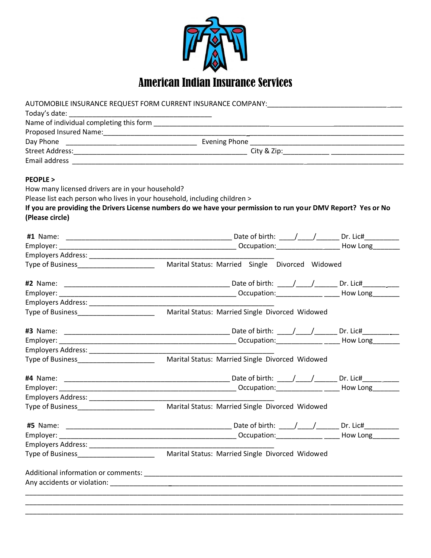

|                                                                           | AUTOMOBILE INSURANCE REQUEST FORM CURRENT INSURANCE COMPANY: NETRAL MARKET AND ACCOMMENT AND THE COMPANY AND T |  |  |  |  |  |  |
|---------------------------------------------------------------------------|----------------------------------------------------------------------------------------------------------------|--|--|--|--|--|--|
| Today's date:                                                             |                                                                                                                |  |  |  |  |  |  |
|                                                                           |                                                                                                                |  |  |  |  |  |  |
|                                                                           |                                                                                                                |  |  |  |  |  |  |
|                                                                           |                                                                                                                |  |  |  |  |  |  |
|                                                                           |                                                                                                                |  |  |  |  |  |  |
|                                                                           |                                                                                                                |  |  |  |  |  |  |
| <b>PEOPLE &gt;</b>                                                        |                                                                                                                |  |  |  |  |  |  |
| How many licensed drivers are in your household?                          |                                                                                                                |  |  |  |  |  |  |
| Please list each person who lives in your household, including children > |                                                                                                                |  |  |  |  |  |  |
|                                                                           | If you are providing the Drivers License numbers do we have your permission to run your DMV Report? Yes or No  |  |  |  |  |  |  |
| (Please circle)                                                           |                                                                                                                |  |  |  |  |  |  |
|                                                                           |                                                                                                                |  |  |  |  |  |  |
|                                                                           |                                                                                                                |  |  |  |  |  |  |
|                                                                           |                                                                                                                |  |  |  |  |  |  |
|                                                                           |                                                                                                                |  |  |  |  |  |  |
|                                                                           |                                                                                                                |  |  |  |  |  |  |
|                                                                           |                                                                                                                |  |  |  |  |  |  |
|                                                                           |                                                                                                                |  |  |  |  |  |  |
|                                                                           |                                                                                                                |  |  |  |  |  |  |
|                                                                           |                                                                                                                |  |  |  |  |  |  |
|                                                                           |                                                                                                                |  |  |  |  |  |  |
|                                                                           |                                                                                                                |  |  |  |  |  |  |
|                                                                           |                                                                                                                |  |  |  |  |  |  |
|                                                                           |                                                                                                                |  |  |  |  |  |  |
|                                                                           |                                                                                                                |  |  |  |  |  |  |
|                                                                           |                                                                                                                |  |  |  |  |  |  |
|                                                                           |                                                                                                                |  |  |  |  |  |  |
|                                                                           |                                                                                                                |  |  |  |  |  |  |
|                                                                           |                                                                                                                |  |  |  |  |  |  |
| Type of Business________________________                                  | Marital Status: Married Single Divorced Widowed                                                                |  |  |  |  |  |  |
|                                                                           |                                                                                                                |  |  |  |  |  |  |
|                                                                           |                                                                                                                |  |  |  |  |  |  |
|                                                                           |                                                                                                                |  |  |  |  |  |  |
| Type of Business_______________________                                   | Marital Status: Married Single Divorced Widowed                                                                |  |  |  |  |  |  |
|                                                                           |                                                                                                                |  |  |  |  |  |  |
|                                                                           |                                                                                                                |  |  |  |  |  |  |
|                                                                           |                                                                                                                |  |  |  |  |  |  |
|                                                                           |                                                                                                                |  |  |  |  |  |  |
|                                                                           |                                                                                                                |  |  |  |  |  |  |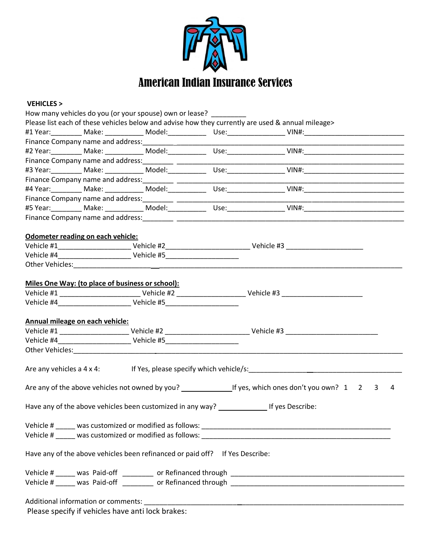

## **VEHICLES >**

|                                   | How many vehicles do you (or your spouse) own or lease? ________             |                                                                                                                                                                                                                                      |  |
|-----------------------------------|------------------------------------------------------------------------------|--------------------------------------------------------------------------------------------------------------------------------------------------------------------------------------------------------------------------------------|--|
|                                   |                                                                              | Please list each of these vehicles below and advise how they currently are used & annual mileage>                                                                                                                                    |  |
|                                   |                                                                              |                                                                                                                                                                                                                                      |  |
|                                   |                                                                              | <u> 1989 - Johann John Harry Harry Harry Harry Harry Harry Harry Harry Harry Harry Harry Harry Harry Harry Harry Harry Harry Harry Harry Harry Harry Harry Harry Harry Harry Harry Harry Harry Harry Harry Harry Harry Harry Har</u> |  |
|                                   |                                                                              |                                                                                                                                                                                                                                      |  |
|                                   |                                                                              |                                                                                                                                                                                                                                      |  |
|                                   |                                                                              |                                                                                                                                                                                                                                      |  |
|                                   |                                                                              |                                                                                                                                                                                                                                      |  |
|                                   |                                                                              |                                                                                                                                                                                                                                      |  |
|                                   |                                                                              |                                                                                                                                                                                                                                      |  |
|                                   |                                                                              |                                                                                                                                                                                                                                      |  |
|                                   |                                                                              |                                                                                                                                                                                                                                      |  |
|                                   |                                                                              |                                                                                                                                                                                                                                      |  |
| Odometer reading on each vehicle: |                                                                              |                                                                                                                                                                                                                                      |  |
|                                   |                                                                              |                                                                                                                                                                                                                                      |  |
|                                   |                                                                              |                                                                                                                                                                                                                                      |  |
|                                   |                                                                              |                                                                                                                                                                                                                                      |  |
|                                   |                                                                              |                                                                                                                                                                                                                                      |  |
|                                   | Miles One Way: (to place of business or school):                             |                                                                                                                                                                                                                                      |  |
|                                   |                                                                              |                                                                                                                                                                                                                                      |  |
|                                   |                                                                              |                                                                                                                                                                                                                                      |  |
|                                   |                                                                              |                                                                                                                                                                                                                                      |  |
| Annual mileage on each vehicle:   |                                                                              |                                                                                                                                                                                                                                      |  |
|                                   |                                                                              |                                                                                                                                                                                                                                      |  |
|                                   |                                                                              |                                                                                                                                                                                                                                      |  |
|                                   |                                                                              |                                                                                                                                                                                                                                      |  |
|                                   |                                                                              |                                                                                                                                                                                                                                      |  |
|                                   |                                                                              | Are any vehicles a 4 x 4: If Yes, please specify which vehicle/s: __________________________________                                                                                                                                 |  |
|                                   |                                                                              |                                                                                                                                                                                                                                      |  |
|                                   |                                                                              |                                                                                                                                                                                                                                      |  |
|                                   |                                                                              |                                                                                                                                                                                                                                      |  |
|                                   |                                                                              |                                                                                                                                                                                                                                      |  |
|                                   |                                                                              |                                                                                                                                                                                                                                      |  |
|                                   | Vehicle # ______ was customized or modified as follows:                      |                                                                                                                                                                                                                                      |  |
|                                   |                                                                              |                                                                                                                                                                                                                                      |  |
|                                   |                                                                              |                                                                                                                                                                                                                                      |  |
|                                   | Have any of the above vehicles been refinanced or paid off? If Yes Describe: |                                                                                                                                                                                                                                      |  |
|                                   |                                                                              |                                                                                                                                                                                                                                      |  |
|                                   |                                                                              |                                                                                                                                                                                                                                      |  |
|                                   |                                                                              |                                                                                                                                                                                                                                      |  |
|                                   |                                                                              |                                                                                                                                                                                                                                      |  |
|                                   |                                                                              |                                                                                                                                                                                                                                      |  |
|                                   | Deega specify; if uphieles house onti-leak business                          |                                                                                                                                                                                                                                      |  |

Please specify if vehicles have anti lock brakes: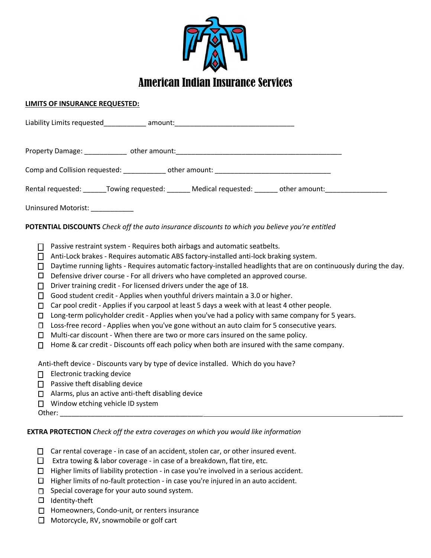

## **LIMITS OF INSURANCE REQUESTED:**

| Liability Limits requested_____________ amount:_________________________________                                                                                                                                                                                                                                                                                                                                                                                                                                                                                                                                                                                                                                                                                                                                                                                                                                                                                                                                                                                                                                 |
|------------------------------------------------------------------------------------------------------------------------------------------------------------------------------------------------------------------------------------------------------------------------------------------------------------------------------------------------------------------------------------------------------------------------------------------------------------------------------------------------------------------------------------------------------------------------------------------------------------------------------------------------------------------------------------------------------------------------------------------------------------------------------------------------------------------------------------------------------------------------------------------------------------------------------------------------------------------------------------------------------------------------------------------------------------------------------------------------------------------|
|                                                                                                                                                                                                                                                                                                                                                                                                                                                                                                                                                                                                                                                                                                                                                                                                                                                                                                                                                                                                                                                                                                                  |
|                                                                                                                                                                                                                                                                                                                                                                                                                                                                                                                                                                                                                                                                                                                                                                                                                                                                                                                                                                                                                                                                                                                  |
| Rental requested: _______Towing requested: _______ Medical requested: ______ other amount: _______________                                                                                                                                                                                                                                                                                                                                                                                                                                                                                                                                                                                                                                                                                                                                                                                                                                                                                                                                                                                                       |
| Uninsured Motorist: ___________                                                                                                                                                                                                                                                                                                                                                                                                                                                                                                                                                                                                                                                                                                                                                                                                                                                                                                                                                                                                                                                                                  |
| POTENTIAL DISCOUNTS Check off the auto insurance discounts to which you believe you're entitled                                                                                                                                                                                                                                                                                                                                                                                                                                                                                                                                                                                                                                                                                                                                                                                                                                                                                                                                                                                                                  |
| Passive restraint system - Requires both airbags and automatic seatbelts.<br>□<br>Anti-Lock brakes - Requires automatic ABS factory-installed anti-lock braking system.<br>П<br>Daytime running lights - Requires automatic factory-installed headlights that are on continuously during the day.<br>$\Box$<br>Defensive driver course - For all drivers who have completed an approved course.<br>$\Box$<br>Driver training credit - For licensed drivers under the age of 18.<br>$\Box$<br>Good student credit - Applies when youthful drivers maintain a 3.0 or higher.<br>$\Box$<br>Car pool credit - Applies if you carpool at least 5 days a week with at least 4 other people.<br>$\Box$<br>Long-term policyholder credit - Applies when you've had a policy with same company for 5 years.<br>$\Box$<br>Loss-free record - Applies when you've gone without an auto claim for 5 consecutive years.<br>О<br>Multi-car discount - When there are two or more cars insured on the same policy.<br>□<br>Home & car credit - Discounts off each policy when both are insured with the same company.<br>$\Box$ |
| Anti-theft device - Discounts vary by type of device installed. Which do you have?<br>Electronic tracking device<br>П<br>$\Box$ Passive theft disabling device<br>Alarms, plus an active anti-theft disabling device<br>$\Box$<br>$\Box$ Window etching vehicle ID system                                                                                                                                                                                                                                                                                                                                                                                                                                                                                                                                                                                                                                                                                                                                                                                                                                        |
| <b>EXTRA PROTECTION</b> Check off the extra coverages on which you would like information                                                                                                                                                                                                                                                                                                                                                                                                                                                                                                                                                                                                                                                                                                                                                                                                                                                                                                                                                                                                                        |

- $\Box$  Car rental coverage in case of an accident, stolen car, or other insured event.
- Extra towing & labor coverage in case of a breakdown, flat tire, etc.
- $\Box$  Higher limits of liability protection in case you're involved in a serious accident.
- $\Box$  Higher limits of no-fault protection in case you're injured in an auto accident.
- $\square$  Special coverage for your auto sound system.
- $\Box$  Identity-theft
- $\Box$  Homeowners, Condo-unit, or renters insurance
- □ Motorcycle, RV, snowmobile or golf cart